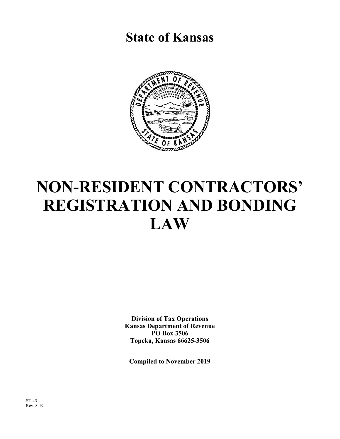**State of Kansas**



# **NON-RESIDENT CONTRACTORS' REGISTRATION AND BONDING LAW**

**Division of Tax Operations Kansas Department of Revenue PO Box 3506 Topeka, Kansas 66625-3506** 

**Compiled to November 2019**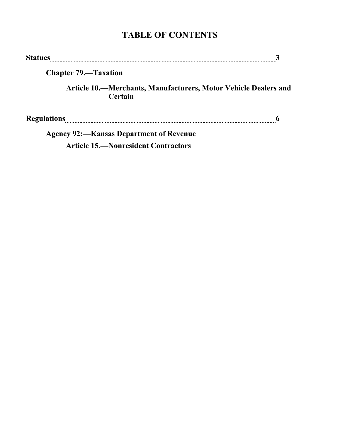# **TABLE OF CONTENTS**

| <b>Statues</b>              |                                                                            |  |
|-----------------------------|----------------------------------------------------------------------------|--|
| <b>Chapter 79.—Taxation</b> |                                                                            |  |
|                             | Article 10.—Merchants, Manufacturers, Motor Vehicle Dealers and<br>Certain |  |
| <b>Regulations</b>          |                                                                            |  |
|                             | <b>Agency 92: – Kansas Department of Revenue</b>                           |  |

**Article 15.—Nonresident Contractors**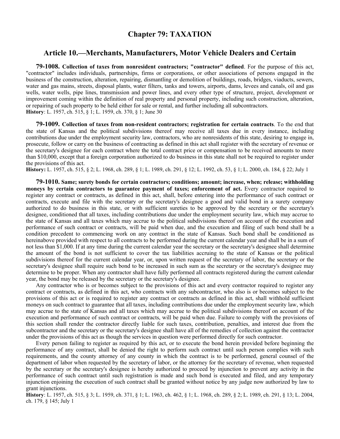### **Chapter 79: TAXATION**

#### **Article 10.—Merchants, Manufacturers, Motor Vehicle Dealers and Certain**

**79-1008. Collection of taxes from nonresident contractors; "contractor" defined**. For the purpose of this act, "contractor" includes individuals, partnerships, firms or corporations, or other associations of persons engaged in the business of the construction, alteration, repairing, dismantling or demolition of buildings, roads, bridges, viaducts, sewers, water and gas mains, streets, disposal plants, water filters, tanks and towers, airports, dams, levees and canals, oil and gas wells, water wells, pipe lines, transmission and power lines, and every other type of structure, project, development or improvement coming within the definition of real property and personal property, including such construction, alteration, or repairing of such property to be held either for sale or rental, and further including all subcontractors. **History**: L. 1957, ch. 515, § 1; L. 1959, ch. 370, § 1; June 30

**79-1009. Collection of taxes from non-resident contractors; registration for certain contracts**. To the end that the state of Kansas and the political subdivisions thereof may receive all taxes due in every instance, including contributions due under the employment security law, contractors, who are nonresidents of this state, desiring to engage in, prosecute, follow or carry on the business of contracting as defined in this act shall register with the secretary of revenue or the secretary's designee for each contract where the total contract price or compensation to be received amounts to more than \$10,000, except that a foreign corporation authorized to do business in this state shall not be required to register under the provisions of this act.

**History:** L. 1957, ch. 515, § 2; L. 1968, ch. 289, § 1; L. 1989, ch. 291, § 12; L. 1992, ch. 53, § 1; L. 2000, ch. 184, § 22; July 1

**79-1010. Same; surety bonds for certain contractors; conditions; amount; increase, when; release; withholding moneys by certain contractors to guarantee payment of taxes; enforcement of act.** Every contractor required to register any contract or contracts, as defined in this act, shall, before entering into the performance of such contract or contracts, execute and file with the secretary or the secretary's designee a good and valid bond in a surety company authorized to do business in this state, or with sufficient sureties to be approved by the secretary or the secretary's designee, conditioned that all taxes, including contributions due under the employment security law, which may accrue to the state of Kansas and all taxes which may accrue to the political subdivisions thereof on account of the execution and performance of such contract or contracts, will be paid when due, and the execution and filing of such bond shall be a condition precedent to commencing work on any contract in the state of Kansas. Such bond shall be conditioned as hereinabove provided with respect to all contracts to be performed during the current calendar year and shall be in a sum of not less than \$1,000. If at any time during the current calendar year the secretary or the secretary's designee shall determine the amount of the bond is not sufficient to cover the tax liabilities accruing to the state of Kansas or the political subdivisions thereof for the current calendar year, or, upon written request of the secretary of labor, the secretary or the secretary's designee shall require such bond to be increased in such sum as the secretary or the secretary's designee may determine to be proper. When any contractor shall have fully performed all contracts registered during the current calendar year, the bond may be released by the secretary or the secretary's designee.

Any contractor who is or becomes subject to the provisions of this act and every contractor required to register any contract or contracts, as defined in this act, who contracts with any subcontractor, who also is or becomes subject to the provisions of this act or is required to register any contract or contracts as defined in this act, shall withhold sufficient moneys on such contract to guarantee that all taxes, including contributions due under the employment security law, which may accrue to the state of Kansas and all taxes which may accrue to the political subdivisions thereof on account of the execution and performance of such contract or contracts, will be paid when due. Failure to comply with the provisions of this section shall render the contractor directly liable for such taxes, contribution, penalties, and interest due from the subcontractor and the secretary or the secretary's designee shall have all of the remedies of collection against the contractor under the provisions of this act as though the services in question were performed directly for such contractor.

Every person failing to register as required by this act, or to execute the bond herein provided before beginning the performance of any contract, shall be denied the right to perform such contract until such person complies with such requirements, and the county attorney of any county in which the contract is to be performed, general counsel of the department of labor when requested by the secretary of labor, or the attorney for the secretary of revenue, when requested by the secretary or the secretary's designee is hereby authorized to proceed by injunction to prevent any activity in the performance of such contract until such registration is made and such bond is executed and filed, and any temporary injunction enjoining the execution of such contract shall be granted without notice by any judge now authorized by law to grant injunctions.

**History**: L. 1957, ch. 515, § 3; L. 1959, ch. 371, § 1; L. 1963, ch. 462, § 1; L. 1968, ch. 289, § 2; L. 1989, ch. 291, § 13; L. 2004, ch. 179, § 145; July 1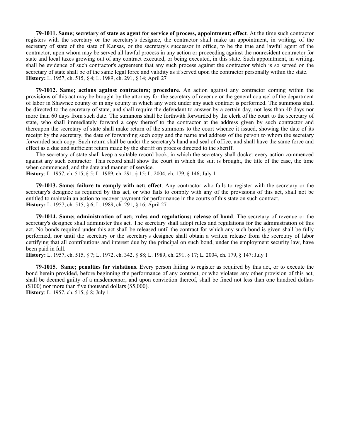**79-1011. Same; secretary of state as agent for service of process, appointment; effect**. At the time such contractor registers with the secretary or the secretary's designee, the contractor shall make an appointment, in writing, of the secretary of state of the state of Kansas, or the secretary's successor in office, to be the true and lawful agent of the contractor, upon whom may be served all lawful process in any action or proceeding against the nonresident contractor for state and local taxes growing out of any contract executed, or being executed, in this state. Such appointment, in writing, shall be evidence of such contractor's agreement that any such process against the contractor which is so served on the secretary of state shall be of the same legal force and validity as if served upon the contractor personally within the state. **History:** L. 1957, ch. 515, § 4; L. 1989, ch. 291, § 14; April 27

**79-1012. Same; actions against contractors; procedure**. An action against any contractor coming within the provisions of this act may be brought by the attorney for the secretary of revenue or the general counsel of the department of labor in Shawnee county or in any county in which any work under any such contract is performed. The summons shall be directed to the secretary of state, and shall require the defendant to answer by a certain day, not less than 40 days nor more than 60 days from such date. The summons shall be forthwith forwarded by the clerk of the court to the secretary of state, who shall immediately forward a copy thereof to the contractor at the address given by such contractor and thereupon the secretary of state shall make return of the summons to the court whence it issued, showing the date of its receipt by the secretary, the date of forwarding such copy and the name and address of the person to whom the secretary forwarded such copy. Such return shall be under the secretary's hand and seal of office, and shall have the same force and effect as a due and sufficient return made by the sheriff on process directed to the sheriff.

The secretary of state shall keep a suitable record book, in which the secretary shall docket every action commenced against any such contractor. This record shall show the court in which the suit is brought, the title of the case, the time when commenced, and the date and manner of service.

**History**: L. 1957, ch. 515, § 5; L. 1989, ch. 291, § 15; L. 2004, ch. 179, § 146; July 1

**79-1013. Same; failure to comply with act; effect**. Any contractor who fails to register with the secretary or the secretary's designee as required by this act, or who fails to comply with any of the provisions of this act, shall not be entitled to maintain an action to recover payment for performance in the courts of this state on such contract. **History:** L. 1957, ch. 515, § 6; L. 1989, ch. 291, § 16; April 27

**79-1014. Same; administration of act; rules and regulations; release of bond**. The secretary of revenue or the secretary's designee shall administer this act. The secretary shall adopt rules and regulations for the administration of this act. No bonds required under this act shall be released until the contract for which any such bond is given shall be fully performed, nor until the secretary or the secretary's designee shall obtain a written release from the secretary of labor certifying that all contributions and interest due by the principal on such bond, under the employment security law, have been paid in full.

**History:** L. 1957, ch. 515, § 7; L. 1972, ch. 342, § 88; L. 1989, ch. 291, § 17; L. 2004, ch. 179, § 147; July 1

**79-1015. Same; penalties for violations.** Every person failing to register as required by this act, or to execute the bond herein provided, before beginning the performance of any contract, or who violates any other provision of this act, shall be deemed guilty of a misdemeanor, and upon conviction thereof, shall be fined not less than one hundred dollars (\$100) nor more than five thousand dollars (\$5,000).

**History**: L. 1957, ch. 515, § 8; July 1.